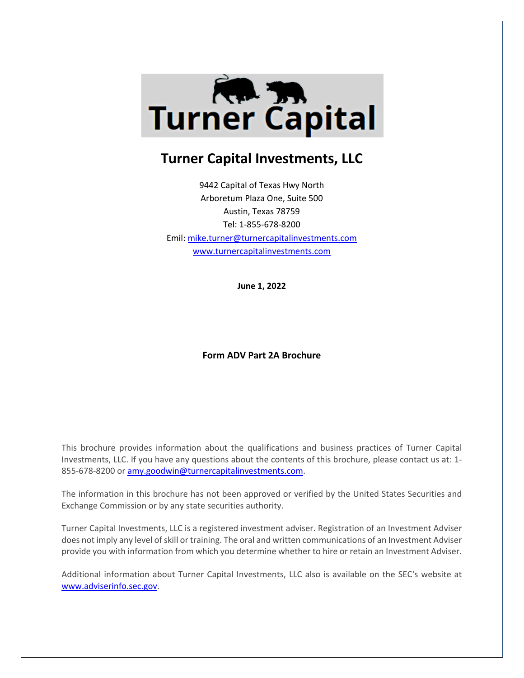

# **Turner Capital Investments, LLC**

9442 Capital of Texas Hwy North Arboretum Plaza One, Suite 500 Austin, Texas 78759 Tel: 1-855-678-8200 Emil: [mike.turner@turnercapitalinvestments.com](mailto:mike.turner@turnercapitalinvestments.com) [www.turnercapitalinvestments.com](http://www.turnercapitalinvestments.com/)

**June 1, 2022**

# **Form ADV Part 2A Brochure**

This brochure provides information about the qualifications and business practices of Turner Capital Investments, LLC. If you have any questions about the contents of this brochure, please contact us at: 1- 855-678-8200 or [amy.goodwin@turnercapitalinvestments.com.](mailto:amy.goodwin@turnercapitalinvestments.com)

The information in this brochure has not been approved or verified by the United States Securities and Exchange Commission or by any state securities authority.

Turner Capital Investments, LLC is a registered investment adviser. Registration of an Investment Adviser does not imply any level of skill or training. The oral and written communications of an Investment Adviser provide you with information from which you determine whether to hire or retain an Investment Adviser.

Additional information about Turner Capital Investments, LLC also is available on the SEC's website at [www.adviserinfo.sec.gov.](http://www.adviserinfo.sec.gov/)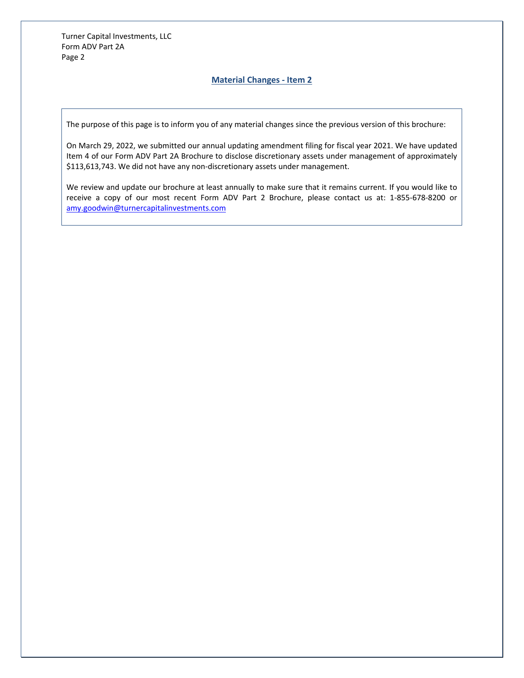# **Material Changes - Item 2**

The purpose of this page is to inform you of any material changes since the previous version of this brochure:

On March 29, 2022, we submitted our annual updating amendment filing for fiscal year 2021. We have updated Item 4 of our Form ADV Part 2A Brochure to disclose discretionary assets under management of approximately \$113,613,743. We did not have any non-discretionary assets under management.

We review and update our brochure at least annually to make sure that it remains current. If you would like to receive a copy of our most recent Form ADV Part 2 Brochure, please contact us at: 1-855-678-8200 or [amy.goodwin@turnercapitalinvestments.com](mailto:amy.goodwin@turnercapitalinvestments.com)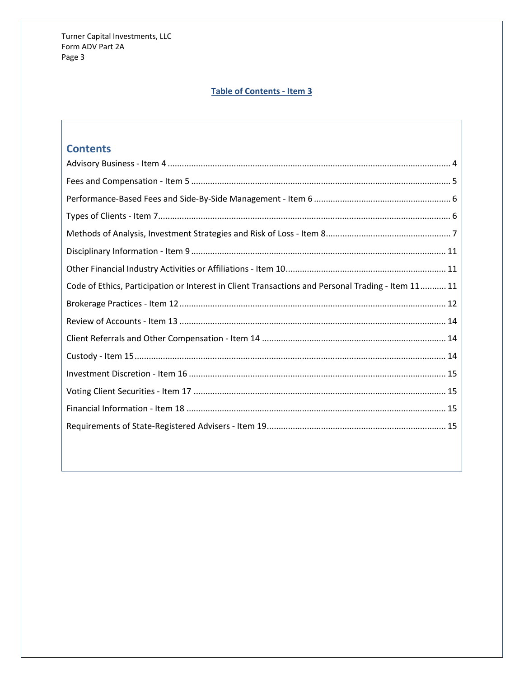# **Table of Contents - Item 3**

# **Contents**

| Code of Ethics, Participation or Interest in Client Transactions and Personal Trading - Item 11 11 |
|----------------------------------------------------------------------------------------------------|
|                                                                                                    |
|                                                                                                    |
|                                                                                                    |
|                                                                                                    |
|                                                                                                    |
|                                                                                                    |
|                                                                                                    |
|                                                                                                    |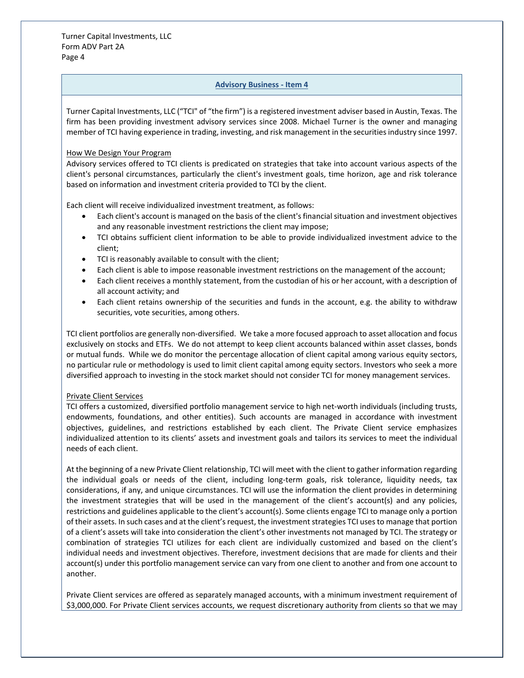# **Advisory Business - Item 4**

<span id="page-3-0"></span>Turner Capital Investments, LLC ("TCI" of "the firm") is a registered investment adviser based in Austin, Texas. The firm has been providing investment advisory services since 2008. Michael Turner is the owner and managing member of TCI having experience in trading, investing, and risk management in the securities industry since 1997.

#### How We Design Your Program

Advisory services offered to TCI clients is predicated on strategies that take into account various aspects of the client's personal circumstances, particularly the client's investment goals, time horizon, age and risk tolerance based on information and investment criteria provided to TCI by the client.

Each client will receive individualized investment treatment, as follows:

- Each client's account is managed on the basis of the client's financial situation and investment objectives and any reasonable investment restrictions the client may impose;
- TCI obtains sufficient client information to be able to provide individualized investment advice to the client;
- TCI is reasonably available to consult with the client;
- Each client is able to impose reasonable investment restrictions on the management of the account;
- Each client receives a monthly statement, from the custodian of his or her account, with a description of all account activity; and
- Each client retains ownership of the securities and funds in the account, e.g. the ability to withdraw securities, vote securities, among others.

TCI client portfolios are generally non-diversified. We take a more focused approach to asset allocation and focus exclusively on stocks and ETFs. We do not attempt to keep client accounts balanced within asset classes, bonds or mutual funds. While we do monitor the percentage allocation of client capital among various equity sectors, no particular rule or methodology is used to limit client capital among equity sectors. Investors who seek a more diversified approach to investing in the stock market should not consider TCI for money management services.

# Private Client Services

TCI offers a customized, diversified portfolio management service to high net-worth individuals (including trusts, endowments, foundations, and other entities). Such accounts are managed in accordance with investment objectives, guidelines, and restrictions established by each client. The Private Client service emphasizes individualized attention to its clients' assets and investment goals and tailors its services to meet the individual needs of each client.

At the beginning of a new Private Client relationship, TCI will meet with the client to gather information regarding the individual goals or needs of the client, including long-term goals, risk tolerance, liquidity needs, tax considerations, if any, and unique circumstances. TCI will use the information the client provides in determining the investment strategies that will be used in the management of the client's account(s) and any policies, restrictions and guidelines applicable to the client's account(s). Some clients engage TCI to manage only a portion of their assets. In such cases and at the client's request, the investment strategies TCI uses to manage that portion of a client's assets will take into consideration the client's other investments not managed by TCI. The strategy or combination of strategies TCI utilizes for each client are individually customized and based on the client's individual needs and investment objectives. Therefore, investment decisions that are made for clients and their account(s) under this portfolio management service can vary from one client to another and from one account to another.

Private Client services are offered as separately managed accounts, with a minimum investment requirement of \$3,000,000. For Private Client services accounts, we request discretionary authority from clients so that we may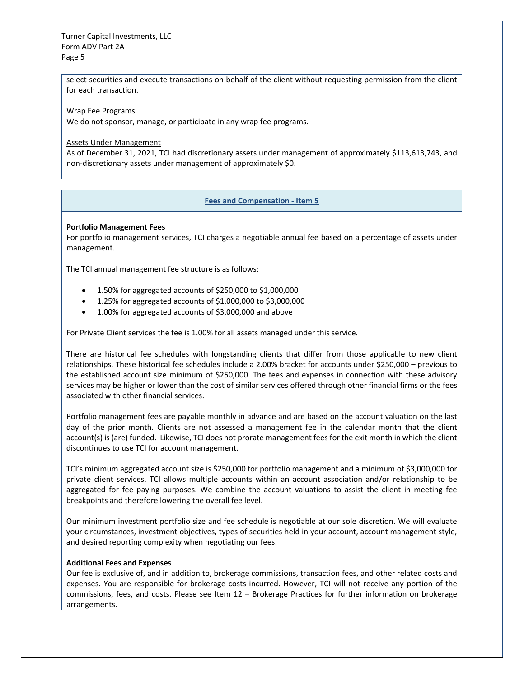select securities and execute transactions on behalf of the client without requesting permission from the client for each transaction.

Wrap Fee Programs

We do not sponsor, manage, or participate in any wrap fee programs.

Assets Under Management

As of December 31, 2021, TCI had discretionary assets under management of approximately \$113,613,743, and non-discretionary assets under management of approximately \$0.

#### **Fees and Compensation - Item 5**

#### <span id="page-4-0"></span>**Portfolio Management Fees**

For portfolio management services, TCI charges a negotiable annual fee based on a percentage of assets under management.

The TCI annual management fee structure is as follows:

- 1.50% for aggregated accounts of \$250,000 to \$1,000,000
- 1.25% for aggregated accounts of \$1,000,000 to \$3,000,000
- 1.00% for aggregated accounts of \$3,000,000 and above

For Private Client services the fee is 1.00% for all assets managed under this service.

There are historical fee schedules with longstanding clients that differ from those applicable to new client relationships. These historical fee schedules include a 2.00% bracket for accounts under \$250,000 – previous to the established account size minimum of \$250,000. The fees and expenses in connection with these advisory services may be higher or lower than the cost of similar services offered through other financial firms or the fees associated with other financial services.

Portfolio management fees are payable monthly in advance and are based on the account valuation on the last day of the prior month. Clients are not assessed a management fee in the calendar month that the client account(s) is (are) funded. Likewise, TCI does not prorate management fees for the exit month in which the client discontinues to use TCI for account management.

TCI's minimum aggregated account size is \$250,000 for portfolio management and a minimum of \$3,000,000 for private client services. TCI allows multiple accounts within an account association and/or relationship to be aggregated for fee paying purposes. We combine the account valuations to assist the client in meeting fee breakpoints and therefore lowering the overall fee level.

Our minimum investment portfolio size and fee schedule is negotiable at our sole discretion. We will evaluate your circumstances, investment objectives, types of securities held in your account, account management style, and desired reporting complexity when negotiating our fees.

#### **Additional Fees and Expenses**

Our fee is exclusive of, and in addition to, brokerage commissions, transaction fees, and other related costs and expenses. You are responsible for brokerage costs incurred. However, TCI will not receive any portion of the commissions, fees, and costs. Please see Item 12 – Brokerage Practices for further information on brokerage arrangements.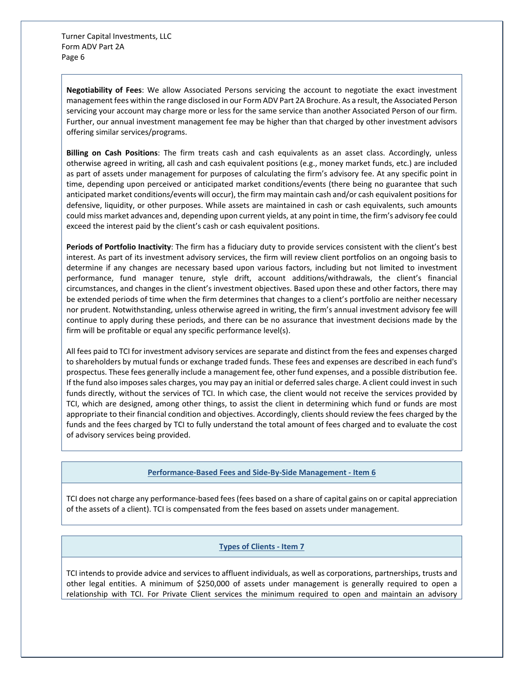**Negotiability of Fees**: We allow Associated Persons servicing the account to negotiate the exact investment management fees within the range disclosed in our Form ADV Part 2A Brochure. As a result, the Associated Person servicing your account may charge more or less for the same service than another Associated Person of our firm. Further, our annual investment management fee may be higher than that charged by other investment advisors offering similar services/programs.

**Billing on Cash Positions**: The firm treats cash and cash equivalents as an asset class. Accordingly, unless otherwise agreed in writing, all cash and cash equivalent positions (e.g., money market funds, etc.) are included as part of assets under management for purposes of calculating the firm's advisory fee. At any specific point in time, depending upon perceived or anticipated market conditions/events (there being no guarantee that such anticipated market conditions/events will occur), the firm may maintain cash and/or cash equivalent positions for defensive, liquidity, or other purposes. While assets are maintained in cash or cash equivalents, such amounts could miss market advances and, depending upon current yields, at any point in time, the firm's advisory fee could exceed the interest paid by the client's cash or cash equivalent positions.

**Periods of Portfolio Inactivity**: The firm has a fiduciary duty to provide services consistent with the client's best interest. As part of its investment advisory services, the firm will review client portfolios on an ongoing basis to determine if any changes are necessary based upon various factors, including but not limited to investment performance, fund manager tenure, style drift, account additions/withdrawals, the client's financial circumstances, and changes in the client's investment objectives. Based upon these and other factors, there may be extended periods of time when the firm determines that changes to a client's portfolio are neither necessary nor prudent. Notwithstanding, unless otherwise agreed in writing, the firm's annual investment advisory fee will continue to apply during these periods, and there can be no assurance that investment decisions made by the firm will be profitable or equal any specific performance level(s).

All fees paid to TCI for investment advisory services are separate and distinct from the fees and expenses charged to shareholders by mutual funds or exchange traded funds. These fees and expenses are described in each fund's prospectus. These fees generally include a management fee, other fund expenses, and a possible distribution fee. If the fund also imposes sales charges, you may pay an initial or deferred sales charge. A client could invest in such funds directly, without the services of TCI. In which case, the client would not receive the services provided by TCI, which are designed, among other things, to assist the client in determining which fund or funds are most appropriate to their financial condition and objectives. Accordingly, clients should review the fees charged by the funds and the fees charged by TCI to fully understand the total amount of fees charged and to evaluate the cost of advisory services being provided.

#### **Performance-Based Fees and Side-By-Side Management - Item 6**

<span id="page-5-0"></span>TCI does not charge any performance-based fees (fees based on a share of capital gains on or capital appreciation of the assets of a client). TCI is compensated from the fees based on assets under management.

# **Types of Clients - Item 7**

<span id="page-5-1"></span>TCI intends to provide advice and services to affluent individuals, as well as corporations, partnerships, trusts and other legal entities. A minimum of \$250,000 of assets under management is generally required to open a relationship with TCI. For Private Client services the minimum required to open and maintain an advisory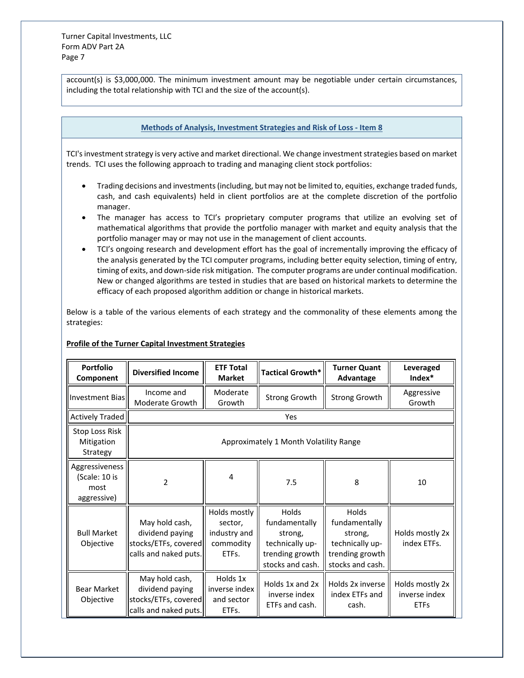account(s) is \$3,000,000. The minimum investment amount may be negotiable under certain circumstances, including the total relationship with TCI and the size of the account(s).

## **Methods of Analysis, Investment Strategies and Risk of Loss - Item 8**

<span id="page-6-0"></span>TCI's investment strategy is very active and market directional. We change investment strategies based on market trends. TCI uses the following approach to trading and managing client stock portfolios:

- Trading decisions and investments (including, but may not be limited to, equities, exchange traded funds, cash, and cash equivalents) held in client portfolios are at the complete discretion of the portfolio manager.
- The manager has access to TCI's proprietary computer programs that utilize an evolving set of mathematical algorithms that provide the portfolio manager with market and equity analysis that the portfolio manager may or may not use in the management of client accounts.
- TCI's ongoing research and development effort has the goal of incrementally improving the efficacy of the analysis generated by the TCI computer programs, including better equity selection, timing of entry, timing of exits, and down-side risk mitigation. The computer programs are under continual modification. New or changed algorithms are tested in studies that are based on historical markets to determine the efficacy of each proposed algorithm addition or change in historical markets.

Below is a table of the various elements of each strategy and the commonality of these elements among the strategies:

# **Profile of the Turner Capital Investment Strategies**

| <b>Portfolio</b><br>Component                          | <b>Diversified Income</b>                                                          | <b>ETF Total</b><br><b>Market</b>                             | Tactical Growth*                                                                                   | <b>Turner Quant</b><br>Advantage                                                            | Leveraged<br>Index*                             |  |  |  |
|--------------------------------------------------------|------------------------------------------------------------------------------------|---------------------------------------------------------------|----------------------------------------------------------------------------------------------------|---------------------------------------------------------------------------------------------|-------------------------------------------------|--|--|--|
| Investment Biasl                                       | Income and<br>Moderate Growth                                                      | Moderate<br>Growth                                            | Strong Growth                                                                                      | <b>Strong Growth</b>                                                                        | Aggressive<br>Growth                            |  |  |  |
| Actively Traded                                        | Yes                                                                                |                                                               |                                                                                                    |                                                                                             |                                                 |  |  |  |
| <b>Stop Loss Risk</b><br>Mitigation<br>Strategy        | Approximately 1 Month Volatility Range                                             |                                                               |                                                                                                    |                                                                                             |                                                 |  |  |  |
| Aggressiveness<br>(Scale: 10 is<br>most<br>aggressive) | $\overline{2}$                                                                     | 4                                                             | 7.5                                                                                                | 8                                                                                           | 10                                              |  |  |  |
| <b>Bull Market</b><br>Objective                        | May hold cash,<br>dividend paying<br>stocks/ETFs, covered<br>calls and naked puts. | Holds mostly<br>sector,<br>industry and<br>commodity<br>ETFs. | <b>Holds</b><br>fundamentally<br>strong,<br>technically up-<br>trending growth<br>stocks and cash. | Holds<br>fundamentally<br>strong,<br>technically up-<br>trending growth<br>stocks and cash. | Holds mostly 2x<br>index ETFs.                  |  |  |  |
| <b>Bear Market</b><br>Objective                        | May hold cash,<br>dividend paying<br>stocks/ETFs, covered<br>calls and naked puts. | Holds 1x<br>inverse index<br>and sector<br>ETFs.              | Holds 1x and 2x<br>inverse index<br>ETFs and cash.                                                 | Holds 2x inverse<br>index ETFs and<br>cash.                                                 | Holds mostly 2x<br>inverse index<br><b>ETFs</b> |  |  |  |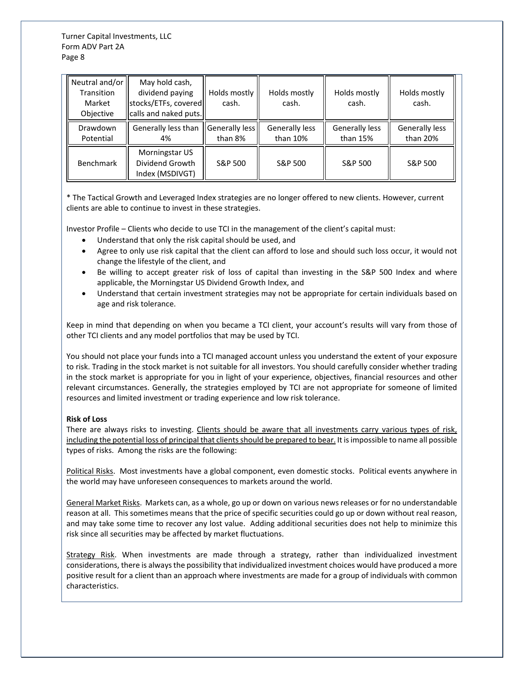| Neutral and/or<br>Transition<br>Market<br>Objective | May hold cash,<br>dividend paying<br>stocks/ETFs, covered<br>calls and naked puts. | Holds mostly<br>cash.     | Holds mostly<br>cash.      | Holds mostly<br>cash.      | Holds mostly<br>cash.      |
|-----------------------------------------------------|------------------------------------------------------------------------------------|---------------------------|----------------------------|----------------------------|----------------------------|
| Drawdown<br>Potential                               | Generally less than<br>4%                                                          | Generally less<br>than 8% | Generally less<br>than 10% | Generally less<br>than 15% | Generally less<br>than 20% |
| <b>Benchmark</b>                                    | Morningstar US<br>Dividend Growth<br>Index (MSDIVGT)                               | S&P 500                   | S&P 500                    | S&P 500                    | S&P 500                    |

\* The Tactical Growth and Leveraged Index strategies are no longer offered to new clients. However, current clients are able to continue to invest in these strategies.

Investor Profile – Clients who decide to use TCI in the management of the client's capital must:

- Understand that only the risk capital should be used, and
- Agree to only use risk capital that the client can afford to lose and should such loss occur, it would not change the lifestyle of the client, and
- Be willing to accept greater risk of loss of capital than investing in the S&P 500 Index and where applicable, the Morningstar US Dividend Growth Index, and
- Understand that certain investment strategies may not be appropriate for certain individuals based on age and risk tolerance.

Keep in mind that depending on when you became a TCI client, your account's results will vary from those of other TCI clients and any model portfolios that may be used by TCI.

You should not place your funds into a TCI managed account unless you understand the extent of your exposure to risk. Trading in the stock market is not suitable for all investors. You should carefully consider whether trading in the stock market is appropriate for you in light of your experience, objectives, financial resources and other relevant circumstances. Generally, the strategies employed by TCI are not appropriate for someone of limited resources and limited investment or trading experience and low risk tolerance.

# **Risk of Loss**

There are always risks to investing. Clients should be aware that all investments carry various types of risk, including the potential loss of principal that clients should be prepared to bear. It is impossible to name all possible types of risks. Among the risks are the following:

Political Risks. Most investments have a global component, even domestic stocks. Political events anywhere in the world may have unforeseen consequences to markets around the world.

General Market Risks. Markets can, as a whole, go up or down on various news releases or for no understandable reason at all. This sometimes means that the price of specific securities could go up or down without real reason, and may take some time to recover any lost value. Adding additional securities does not help to minimize this risk since all securities may be affected by market fluctuations.

Strategy Risk. When investments are made through a strategy, rather than individualized investment considerations, there is always the possibility that individualized investment choices would have produced a more positive result for a client than an approach where investments are made for a group of individuals with common characteristics.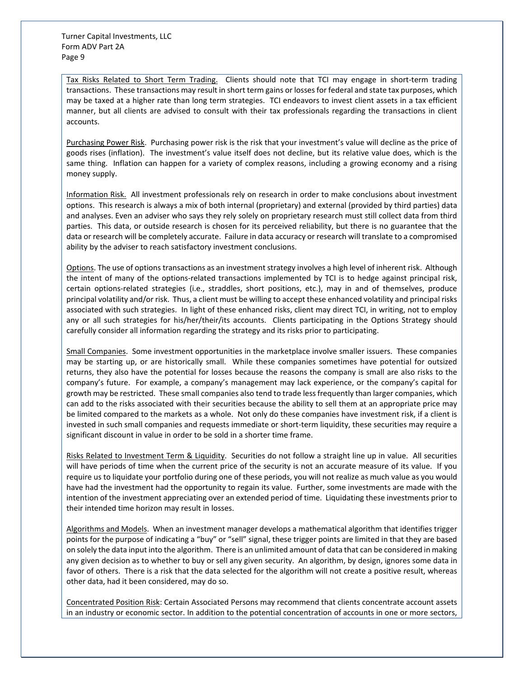Tax Risks Related to Short Term Trading. Clients should note that TCI may engage in short-term trading transactions. These transactions may result in short term gains or losses for federal and state tax purposes, which may be taxed at a higher rate than long term strategies. TCI endeavors to invest client assets in a tax efficient manner, but all clients are advised to consult with their tax professionals regarding the transactions in client accounts.

Purchasing Power Risk. Purchasing power risk is the risk that your investment's value will decline as the price of goods rises (inflation). The investment's value itself does not decline, but its relative value does, which is the same thing. Inflation can happen for a variety of complex reasons, including a growing economy and a rising money supply.

Information Risk. All investment professionals rely on research in order to make conclusions about investment options. This research is always a mix of both internal (proprietary) and external (provided by third parties) data and analyses. Even an adviser who says they rely solely on proprietary research must still collect data from third parties. This data, or outside research is chosen for its perceived reliability, but there is no guarantee that the data or research will be completely accurate. Failure in data accuracy or research will translate to a compromised ability by the adviser to reach satisfactory investment conclusions.

Options. The use of options transactions as an investment strategy involves a high level of inherent risk. Although the intent of many of the options-related transactions implemented by TCI is to hedge against principal risk, certain options-related strategies (i.e., straddles, short positions, etc.), may in and of themselves, produce principal volatility and/or risk. Thus, a client must be willing to accept these enhanced volatility and principal risks associated with such strategies. In light of these enhanced risks, client may direct TCI, in writing, not to employ any or all such strategies for his/her/their/its accounts. Clients participating in the Options Strategy should carefully consider all information regarding the strategy and its risks prior to participating.

Small Companies. Some investment opportunities in the marketplace involve smaller issuers. These companies may be starting up, or are historically small. While these companies sometimes have potential for outsized returns, they also have the potential for losses because the reasons the company is small are also risks to the company's future. For example, a company's management may lack experience, or the company's capital for growth may be restricted. These small companies also tend to trade less frequently than larger companies, which can add to the risks associated with their securities because the ability to sell them at an appropriate price may be limited compared to the markets as a whole. Not only do these companies have investment risk, if a client is invested in such small companies and requests immediate or short-term liquidity, these securities may require a significant discount in value in order to be sold in a shorter time frame.

Risks Related to Investment Term & Liquidity. Securities do not follow a straight line up in value. All securities will have periods of time when the current price of the security is not an accurate measure of its value. If you require us to liquidate your portfolio during one of these periods, you will not realize as much value as you would have had the investment had the opportunity to regain its value. Further, some investments are made with the intention of the investment appreciating over an extended period of time. Liquidating these investments prior to their intended time horizon may result in losses.

Algorithms and Models. When an investment manager develops a mathematical algorithm that identifies trigger points for the purpose of indicating a "buy" or "sell" signal, these trigger points are limited in that they are based on solely the data input into the algorithm. There is an unlimited amount of data that can be considered in making any given decision as to whether to buy or sell any given security. An algorithm, by design, ignores some data in favor of others. There is a risk that the data selected for the algorithm will not create a positive result, whereas other data, had it been considered, may do so.

Concentrated Position Risk: Certain Associated Persons may recommend that clients concentrate account assets in an industry or economic sector. In addition to the potential concentration of accounts in one or more sectors,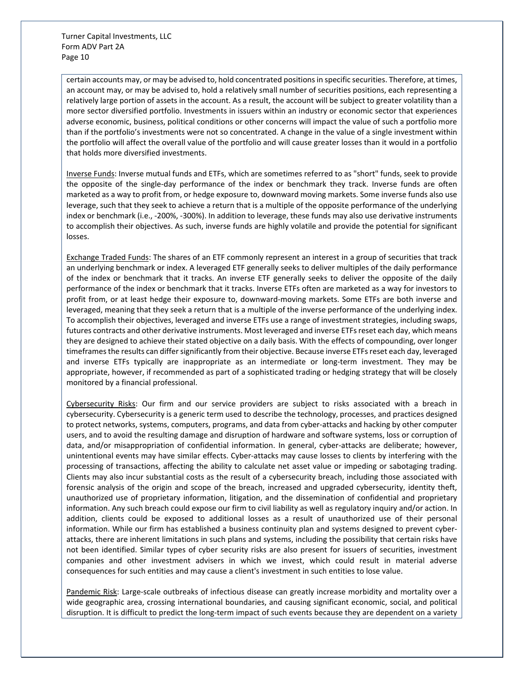certain accounts may, or may be advised to, hold concentrated positions in specific securities. Therefore, at times, an account may, or may be advised to, hold a relatively small number of securities positions, each representing a relatively large portion of assets in the account. As a result, the account will be subject to greater volatility than a more sector diversified portfolio. Investments in issuers within an industry or economic sector that experiences adverse economic, business, political conditions or other concerns will impact the value of such a portfolio more than if the portfolio's investments were not so concentrated. A change in the value of a single investment within the portfolio will affect the overall value of the portfolio and will cause greater losses than it would in a portfolio that holds more diversified investments.

Inverse Funds: Inverse mutual funds and ETFs, which are sometimes referred to as "short" funds, seek to provide the opposite of the single-day performance of the index or benchmark they track. Inverse funds are often marketed as a way to profit from, or hedge exposure to, downward moving markets. Some inverse funds also use leverage, such that they seek to achieve a return that is a multiple of the opposite performance of the underlying index or benchmark (i.e., -200%, -300%). In addition to leverage, these funds may also use derivative instruments to accomplish their objectives. As such, inverse funds are highly volatile and provide the potential for significant losses.

Exchange Traded Funds: The shares of an ETF commonly represent an interest in a group of securities that track an underlying benchmark or index. A leveraged ETF generally seeks to deliver multiples of the daily performance of the index or benchmark that it tracks. An inverse ETF generally seeks to deliver the opposite of the daily performance of the index or benchmark that it tracks. Inverse ETFs often are marketed as a way for investors to profit from, or at least hedge their exposure to, downward-moving markets. Some ETFs are both inverse and leveraged, meaning that they seek a return that is a multiple of the inverse performance of the underlying index. To accomplish their objectives, leveraged and inverse ETFs use a range of investment strategies, including swaps, futures contracts and other derivative instruments. Most leveraged and inverse ETFs reset each day, which means they are designed to achieve their stated objective on a daily basis. With the effects of compounding, over longer timeframes the results can differ significantly from their objective. Because inverse ETFs reset each day, leveraged and inverse ETFs typically are inappropriate as an intermediate or long-term investment. They may be appropriate, however, if recommended as part of a sophisticated trading or hedging strategy that will be closely monitored by a financial professional.

Cybersecurity Risks: Our firm and our service providers are subject to risks associated with a breach in cybersecurity. Cybersecurity is a generic term used to describe the technology, processes, and practices designed to protect networks, systems, computers, programs, and data from cyber-attacks and hacking by other computer users, and to avoid the resulting damage and disruption of hardware and software systems, loss or corruption of data, and/or misappropriation of confidential information. In general, cyber-attacks are deliberate; however, unintentional events may have similar effects. Cyber-attacks may cause losses to clients by interfering with the processing of transactions, affecting the ability to calculate net asset value or impeding or sabotaging trading. Clients may also incur substantial costs as the result of a cybersecurity breach, including those associated with forensic analysis of the origin and scope of the breach, increased and upgraded cybersecurity, identity theft, unauthorized use of proprietary information, litigation, and the dissemination of confidential and proprietary information. Any such breach could expose our firm to civil liability as well as regulatory inquiry and/or action. In addition, clients could be exposed to additional losses as a result of unauthorized use of their personal information. While our firm has established a business continuity plan and systems designed to prevent cyberattacks, there are inherent limitations in such plans and systems, including the possibility that certain risks have not been identified. Similar types of cyber security risks are also present for issuers of securities, investment companies and other investment advisers in which we invest, which could result in material adverse consequences for such entities and may cause a client's investment in such entities to lose value.

Pandemic Risk: Large-scale outbreaks of infectious disease can greatly increase morbidity and mortality over a wide geographic area, crossing international boundaries, and causing significant economic, social, and political disruption. It is difficult to predict the long-term impact of such events because they are dependent on a variety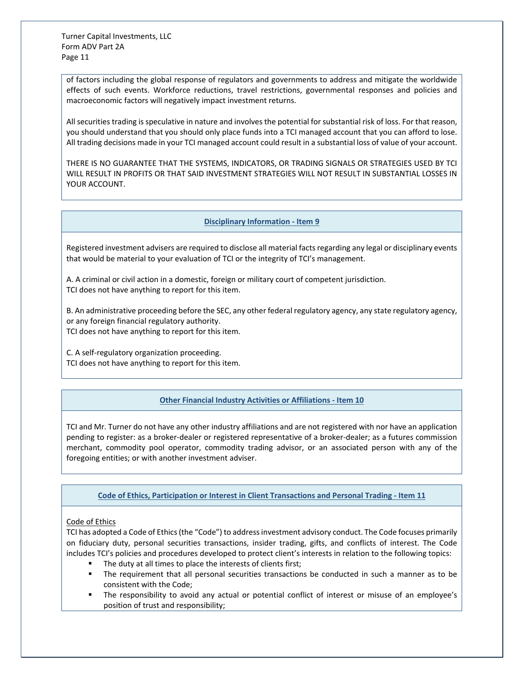of factors including the global response of regulators and governments to address and mitigate the worldwide effects of such events. Workforce reductions, travel restrictions, governmental responses and policies and macroeconomic factors will negatively impact investment returns.

All securities trading is speculative in nature and involves the potential for substantial risk of loss. For that reason, you should understand that you should only place funds into a TCI managed account that you can afford to lose. All trading decisions made in your TCI managed account could result in a substantial loss of value of your account.

THERE IS NO GUARANTEE THAT THE SYSTEMS, INDICATORS, OR TRADING SIGNALS OR STRATEGIES USED BY TCI WILL RESULT IN PROFITS OR THAT SAID INVESTMENT STRATEGIES WILL NOT RESULT IN SUBSTANTIAL LOSSES IN YOUR ACCOUNT.

# **Disciplinary Information - Item 9**

<span id="page-10-0"></span>Registered investment advisers are required to disclose all material facts regarding any legal or disciplinary events that would be material to your evaluation of TCI or the integrity of TCI's management.

A. A criminal or civil action in a domestic, foreign or military court of competent jurisdiction. TCI does not have anything to report for this item.

B. An administrative proceeding before the SEC, any other federal regulatory agency, any state regulatory agency, or any foreign financial regulatory authority. TCI does not have anything to report for this item.

C. A self-regulatory organization proceeding.

<span id="page-10-1"></span>TCI does not have anything to report for this item.

# **Other Financial Industry Activities or Affiliations - Item 10**

TCI and Mr. Turner do not have any other industry affiliations and are not registered with nor have an application pending to register: as a broker-dealer or registered representative of a broker-dealer; as a futures commission merchant, commodity pool operator, commodity trading advisor, or an associated person with any of the foregoing entities; or with another investment adviser.

<span id="page-10-2"></span>**Code of Ethics, Participation or Interest in Client Transactions and Personal Trading - Item 11**

# Code of Ethics

TCI has adopted a Code of Ethics (the "Code") to address investment advisory conduct. The Code focuses primarily on fiduciary duty, personal securities transactions, insider trading, gifts, and conflicts of interest. The Code includes TCI's policies and procedures developed to protect client's interests in relation to the following topics:

- The duty at all times to place the interests of clients first;
- The requirement that all personal securities transactions be conducted in such a manner as to be consistent with the Code;
- The responsibility to avoid any actual or potential conflict of interest or misuse of an employee's position of trust and responsibility;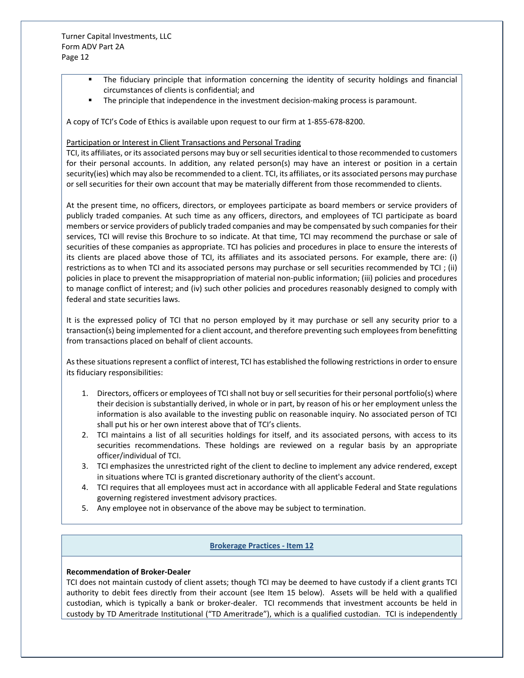- The fiduciary principle that information concerning the identity of security holdings and financial circumstances of clients is confidential; and
- **The principle that independence in the investment decision-making process is paramount.**

A copy of TCI's Code of Ethics is available upon request to our firm at 1-855-678-8200.

## Participation or Interest in Client Transactions and Personal Trading

TCI, its affiliates, or its associated persons may buy or sell securities identical to those recommended to customers for their personal accounts. In addition, any related person(s) may have an interest or position in a certain security(ies) which may also be recommended to a client. TCI, its affiliates, or its associated persons may purchase or sell securities for their own account that may be materially different from those recommended to clients.

At the present time, no officers, directors, or employees participate as board members or service providers of publicly traded companies. At such time as any officers, directors, and employees of TCI participate as board members or service providers of publicly traded companies and may be compensated by such companies for their services, TCI will revise this Brochure to so indicate. At that time, TCI may recommend the purchase or sale of securities of these companies as appropriate. TCI has policies and procedures in place to ensure the interests of its clients are placed above those of TCI, its affiliates and its associated persons. For example, there are: (i) restrictions as to when TCI and its associated persons may purchase or sell securities recommended by TCI ; (ii) policies in place to prevent the misappropriation of material non-public information; (iii) policies and procedures to manage conflict of interest; and (iv) such other policies and procedures reasonably designed to comply with federal and state securities laws.

It is the expressed policy of TCI that no person employed by it may purchase or sell any security prior to a transaction(s) being implemented for a client account, and therefore preventing such employees from benefitting from transactions placed on behalf of client accounts.

As these situations represent a conflict of interest, TCI has established the following restrictions in order to ensure its fiduciary responsibilities:

- 1. Directors, officers or employees of TCI shall not buy or sell securities for their personal portfolio(s) where their decision is substantially derived, in whole or in part, by reason of his or her employment unless the information is also available to the investing public on reasonable inquiry. No associated person of TCI shall put his or her own interest above that of TCI's clients.
- 2. TCI maintains a list of all securities holdings for itself, and its associated persons, with access to its securities recommendations. These holdings are reviewed on a regular basis by an appropriate officer/individual of TCI.
- 3. TCI emphasizes the unrestricted right of the client to decline to implement any advice rendered, except in situations where TCI is granted discretionary authority of the client's account.
- 4. TCI requires that all employees must act in accordance with all applicable Federal and State regulations governing registered investment advisory practices.
- 5. Any employee not in observance of the above may be subject to termination.

#### **Brokerage Practices - Item 12**

#### <span id="page-11-0"></span>**Recommendation of Broker-Dealer**

TCI does not maintain custody of client assets; though TCI may be deemed to have custody if a client grants TCI authority to debit fees directly from their account (see Item 15 below). Assets will be held with a qualified custodian, which is typically a bank or broker-dealer. TCI recommends that investment accounts be held in custody by TD Ameritrade Institutional ("TD Ameritrade"), which is a qualified custodian. TCI is independently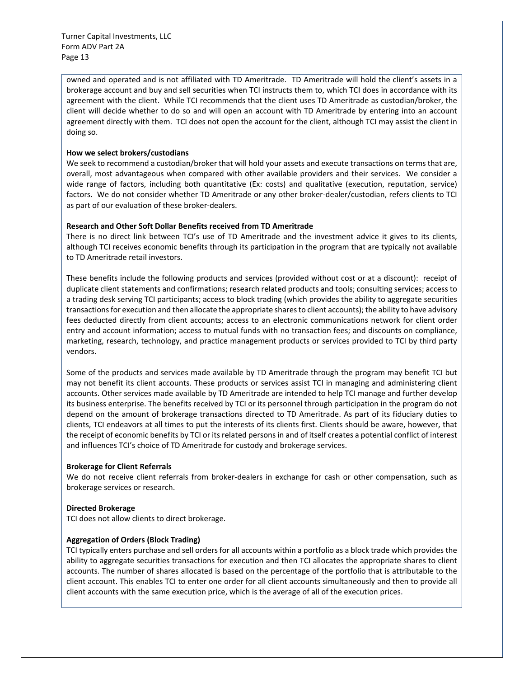owned and operated and is not affiliated with TD Ameritrade. TD Ameritrade will hold the client's assets in a brokerage account and buy and sell securities when TCI instructs them to, which TCI does in accordance with its agreement with the client. While TCI recommends that the client uses TD Ameritrade as custodian/broker, the client will decide whether to do so and will open an account with TD Ameritrade by entering into an account agreement directly with them. TCI does not open the account for the client, although TCI may assist the client in doing so.

## **How we select brokers/custodians**

We seek to recommend a custodian/broker that will hold your assets and execute transactions on terms that are, overall, most advantageous when compared with other available providers and their services. We consider a wide range of factors, including both quantitative (Ex: costs) and qualitative (execution, reputation, service) factors. We do not consider whether TD Ameritrade or any other broker-dealer/custodian, refers clients to TCI as part of our evaluation of these broker-dealers.

## **Research and Other Soft Dollar Benefits received from TD Ameritrade**

There is no direct link between TCI's use of TD Ameritrade and the investment advice it gives to its clients, although TCI receives economic benefits through its participation in the program that are typically not available to TD Ameritrade retail investors.

These benefits include the following products and services (provided without cost or at a discount): receipt of duplicate client statements and confirmations; research related products and tools; consulting services; access to a trading desk serving TCI participants; access to block trading (which provides the ability to aggregate securities transactions for execution and then allocate the appropriate shares to client accounts); the ability to have advisory fees deducted directly from client accounts; access to an electronic communications network for client order entry and account information; access to mutual funds with no transaction fees; and discounts on compliance, marketing, research, technology, and practice management products or services provided to TCI by third party vendors.

Some of the products and services made available by TD Ameritrade through the program may benefit TCI but may not benefit its client accounts. These products or services assist TCI in managing and administering client accounts. Other services made available by TD Ameritrade are intended to help TCI manage and further develop its business enterprise. The benefits received by TCI or its personnel through participation in the program do not depend on the amount of brokerage transactions directed to TD Ameritrade. As part of its fiduciary duties to clients, TCI endeavors at all times to put the interests of its clients first. Clients should be aware, however, that the receipt of economic benefits by TCI or its related persons in and of itself creates a potential conflict of interest and influences TCI's choice of TD Ameritrade for custody and brokerage services.

#### **Brokerage for Client Referrals**

We do not receive client referrals from broker-dealers in exchange for cash or other compensation, such as brokerage services or research.

#### **Directed Brokerage**

TCI does not allow clients to direct brokerage.

#### **Aggregation of Orders (Block Trading)**

TCI typically enters purchase and sell orders for all accounts within a portfolio as a block trade which provides the ability to aggregate securities transactions for execution and then TCI allocates the appropriate shares to client accounts. The number of shares allocated is based on the percentage of the portfolio that is attributable to the client account. This enables TCI to enter one order for all client accounts simultaneously and then to provide all client accounts with the same execution price, which is the average of all of the execution prices.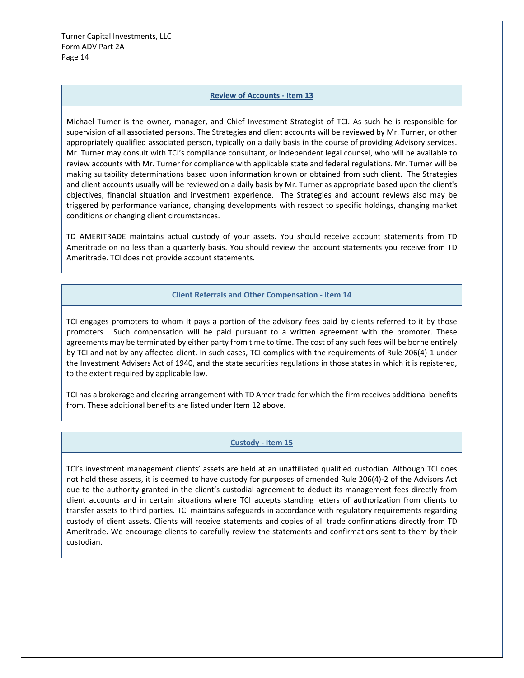#### **Review of Accounts - Item 13**

<span id="page-13-0"></span>Michael Turner is the owner, manager, and Chief Investment Strategist of TCI. As such he is responsible for supervision of all associated persons. The Strategies and client accounts will be reviewed by Mr. Turner, or other appropriately qualified associated person, typically on a daily basis in the course of providing Advisory services. Mr. Turner may consult with TCI's compliance consultant, or independent legal counsel, who will be available to review accounts with Mr. Turner for compliance with applicable state and federal regulations. Mr. Turner will be making suitability determinations based upon information known or obtained from such client. The Strategies and client accounts usually will be reviewed on a daily basis by Mr. Turner as appropriate based upon the client's objectives, financial situation and investment experience. The Strategies and account reviews also may be triggered by performance variance, changing developments with respect to specific holdings, changing market conditions or changing client circumstances.

TD AMERITRADE maintains actual custody of your assets. You should receive account statements from TD Ameritrade on no less than a quarterly basis. You should review the account statements you receive from TD Ameritrade. TCI does not provide account statements.

#### **Client Referrals and Other Compensation - Item 14**

<span id="page-13-1"></span>TCI engages promoters to whom it pays a portion of the advisory fees paid by clients referred to it by those promoters. Such compensation will be paid pursuant to a written agreement with the promoter. These agreements may be terminated by either party from time to time. The cost of any such fees will be borne entirely by TCI and not by any affected client. In such cases, TCI complies with the requirements of Rule 206(4)-1 under the Investment Advisers Act of 1940, and the state securities regulations in those states in which it is registered, to the extent required by applicable law.

TCI has a brokerage and clearing arrangement with TD Ameritrade for which the firm receives additional benefits from. These additional benefits are listed under Item 12 above.

#### **Custody - Item 15**

<span id="page-13-2"></span>TCI's investment management clients' assets are held at an unaffiliated qualified custodian. Although TCI does not hold these assets, it is deemed to have custody for purposes of amended Rule 206(4)-2 of the Advisors Act due to the authority granted in the client's custodial agreement to deduct its management fees directly from client accounts and in certain situations where TCI accepts standing letters of authorization from clients to transfer assets to third parties. TCI maintains safeguards in accordance with regulatory requirements regarding custody of client assets. Clients will receive statements and copies of all trade confirmations directly from TD Ameritrade. We encourage clients to carefully review the statements and confirmations sent to them by their custodian.